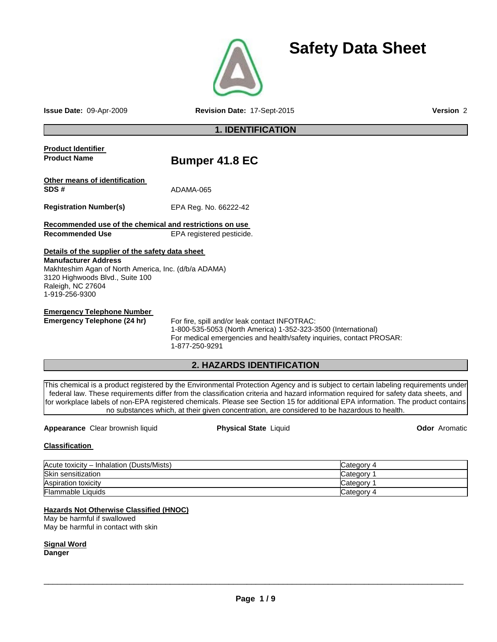

**Issue Date:** 09-Apr-2009 **Revision Date:** 17-Sept-2015 **Version** 2

**Safety Data Sheet**

# **1. IDENTIFICATION**

| <b>Product Identifier</b><br><b>Product Name</b>                                                                                                                                                                  | <b>Bumper 41.8 EC</b>                                                                                                                                                                                                                                                                                                                                                                                                                                                                                         |                      |  |  |  |
|-------------------------------------------------------------------------------------------------------------------------------------------------------------------------------------------------------------------|---------------------------------------------------------------------------------------------------------------------------------------------------------------------------------------------------------------------------------------------------------------------------------------------------------------------------------------------------------------------------------------------------------------------------------------------------------------------------------------------------------------|----------------------|--|--|--|
| Other means of identification<br>SDS#                                                                                                                                                                             | ADAMA-065                                                                                                                                                                                                                                                                                                                                                                                                                                                                                                     |                      |  |  |  |
| <b>Registration Number(s)</b>                                                                                                                                                                                     | EPA Reg. No. 66222-42                                                                                                                                                                                                                                                                                                                                                                                                                                                                                         |                      |  |  |  |
| Recommended use of the chemical and restrictions on use                                                                                                                                                           |                                                                                                                                                                                                                                                                                                                                                                                                                                                                                                               |                      |  |  |  |
| <b>Recommended Use</b>                                                                                                                                                                                            | EPA registered pesticide.                                                                                                                                                                                                                                                                                                                                                                                                                                                                                     |                      |  |  |  |
| Details of the supplier of the safety data sheet<br><b>Manufacturer Address</b><br>Makhteshim Agan of North America, Inc. (d/b/a ADAMA)<br>3120 Highwoods Blvd., Suite 100<br>Raleigh, NC 27604<br>1-919-256-9300 |                                                                                                                                                                                                                                                                                                                                                                                                                                                                                                               |                      |  |  |  |
| <b>Emergency Telephone Number</b>                                                                                                                                                                                 |                                                                                                                                                                                                                                                                                                                                                                                                                                                                                                               |                      |  |  |  |
| <b>Emergency Telephone (24 hr)</b>                                                                                                                                                                                | For fire, spill and/or leak contact INFOTRAC:<br>1-800-535-5053 (North America) 1-352-323-3500 (International)<br>For medical emergencies and health/safety inquiries, contact PROSAR:<br>1-877-250-9291                                                                                                                                                                                                                                                                                                      |                      |  |  |  |
|                                                                                                                                                                                                                   | 2. HAZARDS IDENTIFICATION                                                                                                                                                                                                                                                                                                                                                                                                                                                                                     |                      |  |  |  |
|                                                                                                                                                                                                                   | This chemical is a product registered by the Environmental Protection Agency and is subject to certain labeling requirements under<br>federal law. These requirements differ from the classification criteria and hazard information required for safety data sheets, and<br>for workplace labels of non-EPA registered chemicals. Please see Section 15 for additional EPA information. The product contains<br>no substances which, at their given concentration, are considered to be hazardous to health. |                      |  |  |  |
| Appearance Clear brownish liquid                                                                                                                                                                                  | <b>Physical State Liquid</b>                                                                                                                                                                                                                                                                                                                                                                                                                                                                                  | <b>Odor</b> Aromatic |  |  |  |
| <b>Classification</b>                                                                                                                                                                                             |                                                                                                                                                                                                                                                                                                                                                                                                                                                                                                               |                      |  |  |  |
| Acute toxicity - Inhalation (Dusts/Mists)                                                                                                                                                                         |                                                                                                                                                                                                                                                                                                                                                                                                                                                                                                               | Category 4           |  |  |  |
| Skin sensitization                                                                                                                                                                                                |                                                                                                                                                                                                                                                                                                                                                                                                                                                                                                               | Category 1           |  |  |  |

| <b>HOULD INVILITY</b><br><b>INTRIBUTION</b> (DUSTS/IVISTS) | <b>NAIGUUI 1</b> |
|------------------------------------------------------------|------------------|
| Skin sensitization                                         | ′ ategoryٽ       |
| Aspiration toxicity                                        | b category       |
| <b>Flammable Liquids</b>                                   | ∕ ategoryٽ       |
|                                                            |                  |

#### **Hazards Not Otherwise Classified (HNOC)**

May be harmful if swallowed May be harmful in contact with skin

**Signal Word Danger**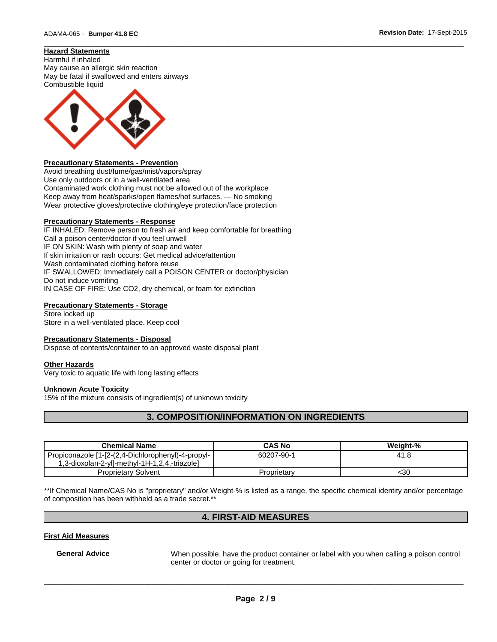## **Hazard Statements**

Harmful if inhaled May cause an allergic skin reaction May be fatal if swallowed and enters airways Combustible liquid



#### **Precautionary Statements - Prevention**

Avoid breathing dust/fume/gas/mist/vapors/spray Use only outdoors or in a well-ventilated area Contaminated work clothing must not be allowed out of the workplace Keep away from heat/sparks/open flames/hot surfaces. — No smoking Wear protective gloves/protective clothing/eye protection/face protection

#### **Precautionary Statements - Response**

IF INHALED: Remove person to fresh air and keep comfortable for breathing Call a poison center/doctor if you feel unwell IF ON SKIN: Wash with plenty of soap and water If skin irritation or rash occurs: Get medical advice/attention Wash contaminated clothing before reuse IF SWALLOWED: Immediately call a POISON CENTER or doctor/physician Do not induce vomiting IN CASE OF FIRE: Use CO2, dry chemical, or foam for extinction

#### **Precautionary Statements - Storage**

Store locked up Store in a well-ventilated place. Keep cool

#### **Precautionary Statements - Disposal**

Dispose of contents/container to an approved waste disposal plant

#### **Other Hazards**

Very toxic to aquatic life with long lasting effects

#### **Unknown Acute Toxicity**

15% of the mixture consists of ingredient(s) of unknown toxicity

# **3. COMPOSITION/INFORMATION ON INGREDIENTS**

\_\_\_\_\_\_\_\_\_\_\_\_\_\_\_\_\_\_\_\_\_\_\_\_\_\_\_\_\_\_\_\_\_\_\_\_\_\_\_\_\_\_\_\_\_\_\_\_\_\_\_\_\_\_\_\_\_\_\_\_\_\_\_\_\_\_\_\_\_\_\_\_\_\_\_\_\_\_\_\_\_\_\_\_\_\_\_\_\_\_\_\_\_

| <b>Chemical Name</b>                               | <b>CAS No</b> | Weiaht-% |
|----------------------------------------------------|---------------|----------|
| Propiconazole [1-[2-(2,4-Dichlorophenyl)-4-propyl- | 60207-90-1    | 41.8     |
| 1,3-dioxolan-2-yl]-methyl-1H-1,2,4,-triazole]      |               |          |
| Proprietary Solvent                                | Proprietary   | <30      |

\*\*If Chemical Name/CAS No is "proprietary" and/or Weight-% is listed as a range, the specific chemical identity and/or percentage of composition has been withheld as a trade secret.\*\*

# **4. FIRST-AID MEASURES**

#### **First Aid Measures**

**General Advice** When possible, have the product container or label with you when calling a poison control center or doctor or going for treatment.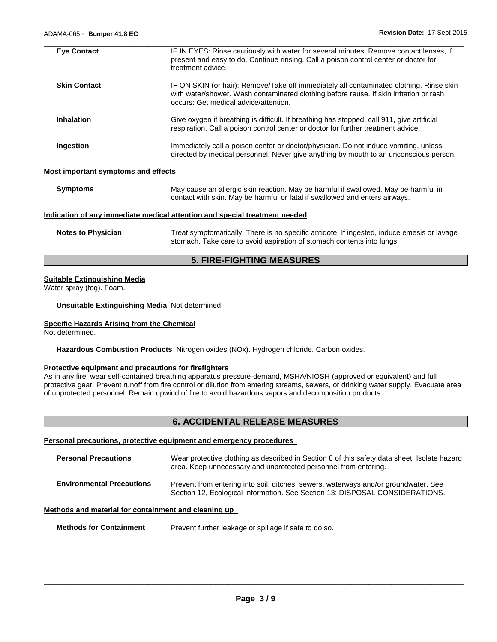| <b>Eve Contact</b>  | IF IN EYES: Rinse cautiously with water for several minutes. Remove contact lenses, if<br>present and easy to do. Continue rinsing. Call a poison control center or doctor for<br>treatment advice.                        |  |  |
|---------------------|----------------------------------------------------------------------------------------------------------------------------------------------------------------------------------------------------------------------------|--|--|
| <b>Skin Contact</b> | IF ON SKIN (or hair): Remove/Take off immediately all contaminated clothing. Rinse skin<br>with water/shower. Wash contaminated clothing before reuse. If skin irritation or rash<br>occurs: Get medical advice/attention. |  |  |
| <b>Inhalation</b>   | Give oxygen if breathing is difficult. If breathing has stopped, call 911, give artificial<br>respiration. Call a poison control center or doctor for further treatment advice.                                            |  |  |
| Ingestion           | Immediately call a poison center or doctor/physician. Do not induce vomiting, unless<br>directed by medical personnel. Never give anything by mouth to an unconscious person.                                              |  |  |

## **Most important symptoms and effects**

| Symptoms | May cause an allergic skin reaction. May be harmful if swallowed. May be harmful in |
|----------|-------------------------------------------------------------------------------------|
|          | contact with skin. May be harmful or fatal if swallowed and enters airways.         |

#### **Indication of any immediate medical attention and special treatment needed**

**Notes to Physician** Treat symptomatically. There is no specific antidote. If ingested, induce emesis or lavage stomach. Take care to avoid aspiration of stomach contents into lungs.

# **5. FIRE-FIGHTING MEASURES**

#### **Suitable Extinguishing Media**

Water spray (fog). Foam.

**Unsuitable Extinguishing Media** Not determined.

#### **Specific Hazards Arising from the Chemical**

Not determined.

**Hazardous Combustion Products** Nitrogen oxides (NOx). Hydrogen chloride. Carbon oxides.

#### **Protective equipment and precautions for firefighters**

As in any fire, wear self-contained breathing apparatus pressure-demand, MSHA/NIOSH (approved or equivalent) and full protective gear. Prevent runoff from fire control or dilution from entering streams, sewers, or drinking water supply. Evacuate area of unprotected personnel. Remain upwind of fire to avoid hazardous vapors and decomposition products.

## **6. ACCIDENTAL RELEASE MEASURES**

**Personal precautions, protective equipment and emergency procedures** 

| <b>Personal Precautions</b>      | Wear protective clothing as described in Section 8 of this safety data sheet. Isolate hazard<br>area. Keep unnecessary and unprotected personnel from entering.     |
|----------------------------------|---------------------------------------------------------------------------------------------------------------------------------------------------------------------|
| <b>Environmental Precautions</b> | Prevent from entering into soil, ditches, sewers, waterways and/or groundwater. See<br>Section 12, Ecological Information. See Section 13: DISPOSAL CONSIDERATIONS. |

### **Methods and material for containment and cleaning up**

**Methods for Containment** Prevent further leakage or spillage if safe to do so.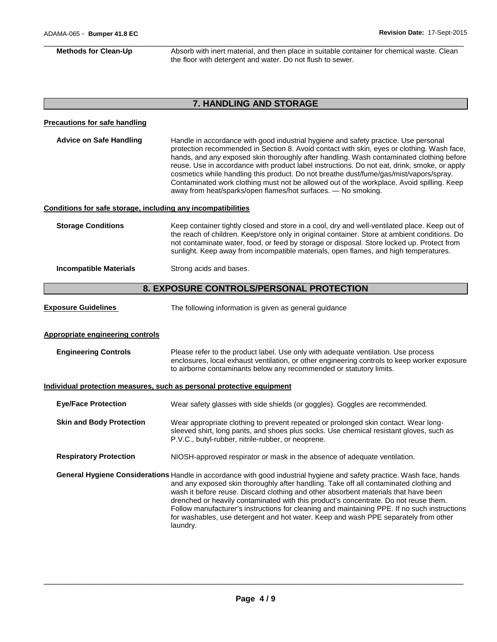\_\_\_\_\_\_\_\_\_\_\_\_\_\_\_\_\_\_\_\_\_\_\_\_\_\_\_\_\_\_\_\_\_\_\_\_\_\_\_\_\_\_\_\_\_\_\_\_\_\_\_\_\_\_\_\_\_\_\_\_\_\_\_\_\_\_\_\_\_\_\_\_\_\_\_\_\_\_\_\_\_\_\_\_\_\_\_\_\_\_\_\_\_ **Methods for Clean-Up Absorb with inert material, and then place in suitable container for chemical waste. Clean** the floor with detergent and water. Do not flush to sewer.

# **7. HANDLING AND STORAGE**

| <b>Precautions for safe handling</b>                         |                                                                                                                                                                                                                                                                                                                                                                                                                                                                                                                                                                                                                                       |  |  |
|--------------------------------------------------------------|---------------------------------------------------------------------------------------------------------------------------------------------------------------------------------------------------------------------------------------------------------------------------------------------------------------------------------------------------------------------------------------------------------------------------------------------------------------------------------------------------------------------------------------------------------------------------------------------------------------------------------------|--|--|
| <b>Advice on Safe Handling</b>                               | Handle in accordance with good industrial hygiene and safety practice. Use personal<br>protection recommended in Section 8. Avoid contact with skin, eyes or clothing. Wash face,<br>hands, and any exposed skin thoroughly after handling. Wash contaminated clothing before<br>reuse. Use in accordance with product label instructions. Do not eat, drink, smoke, or apply<br>cosmetics while handling this product. Do not breathe dust/fume/gas/mist/vapors/spray.<br>Contaminated work clothing must not be allowed out of the workplace. Avoid spilling. Keep<br>away from heat/sparks/open flames/hot surfaces. - No smoking. |  |  |
| Conditions for safe storage, including any incompatibilities |                                                                                                                                                                                                                                                                                                                                                                                                                                                                                                                                                                                                                                       |  |  |
| <b>Storage Conditions</b>                                    | Keep container tightly closed and store in a cool, dry and well-ventilated place. Keep out of<br>the reach of children. Keep/store only in original container. Store at ambient conditions. Do<br>not contaminate water, food, or feed by storage or disposal. Store locked up. Protect from<br>sunlight. Keep away from incompatible materials, open flames, and high temperatures.                                                                                                                                                                                                                                                  |  |  |
| <b>Incompatible Materials</b>                                | Strong acids and bases.                                                                                                                                                                                                                                                                                                                                                                                                                                                                                                                                                                                                               |  |  |
|                                                              | 8. EXPOSURE CONTROLS/PERSONAL PROTECTION                                                                                                                                                                                                                                                                                                                                                                                                                                                                                                                                                                                              |  |  |
| <b>Exposure Guidelines</b>                                   | The following information is given as general guidance                                                                                                                                                                                                                                                                                                                                                                                                                                                                                                                                                                                |  |  |
| <b>Appropriate engineering controls</b>                      |                                                                                                                                                                                                                                                                                                                                                                                                                                                                                                                                                                                                                                       |  |  |
| <b>Engineering Controls</b>                                  | Please refer to the product label. Use only with adequate ventilation. Use process<br>enclosures, local exhaust ventilation, or other engineering controls to keep worker exposure<br>to airborne contaminants below any recommended or statutory limits.                                                                                                                                                                                                                                                                                                                                                                             |  |  |
|                                                              | Individual protection measures, such as personal protective equipment                                                                                                                                                                                                                                                                                                                                                                                                                                                                                                                                                                 |  |  |
| <b>Eye/Face Protection</b>                                   | Wear safety glasses with side shields (or goggles). Goggles are recommended.                                                                                                                                                                                                                                                                                                                                                                                                                                                                                                                                                          |  |  |
| <b>Skin and Body Protection</b>                              | Wear appropriate clothing to prevent repeated or prolonged skin contact. Wear long-<br>sleeved shirt, long pants, and shoes plus socks. Use chemical resistant gloves, such as<br>P.V.C., butyl-rubber, nitrile-rubber, or neoprene.                                                                                                                                                                                                                                                                                                                                                                                                  |  |  |
| <b>Respiratory Protection</b>                                | NIOSH-approved respirator or mask in the absence of adequate ventilation.                                                                                                                                                                                                                                                                                                                                                                                                                                                                                                                                                             |  |  |
|                                                              | General Hygiene Considerations Handle in accordance with good industrial hygiene and safety practice. Wash face, hands<br>and any exposed skin thoroughly after handling. Take off all contaminated clothing and<br>wash it before reuse. Discard clothing and other absorbent materials that have been<br>drenched or heavily contaminated with this product's concentrate. Do not reuse them.<br>Follow manufacturer's instructions for cleaning and maintaining PPE. If no such instructions<br>for washables, use detergent and hot water. Keep and wash PPE separately from other<br>laundry.                                    |  |  |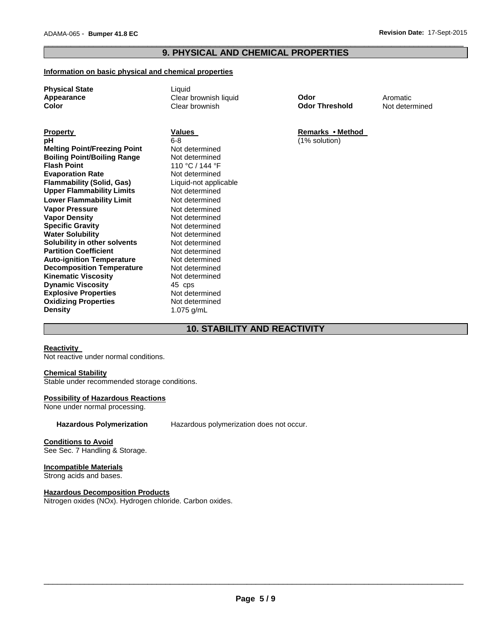## \_\_\_\_\_\_\_\_\_\_\_\_\_\_\_\_\_\_\_\_\_\_\_\_\_\_\_\_\_\_\_\_\_\_\_\_\_\_\_\_\_\_\_\_\_\_\_\_\_\_\_\_\_\_\_\_\_\_\_\_\_\_\_\_\_\_\_\_\_\_\_\_\_\_\_\_\_\_\_\_\_\_\_\_\_\_\_\_\_\_\_\_\_ **9. PHYSICAL AND CHEMICAL PROPERTIES**

### **Information on basic physical and chemical properties**

Liquid

| <b>Physical State</b> |  |
|-----------------------|--|
| Appearance            |  |
| Color                 |  |

**Property Construction Construction Values Construction Construction Remarks • Method pH** 6-8 (1% solution) **Melting Point/Freezing Point Not determined**<br> **Boiling Point/Boiling Range** Not determined **Boiling Point/Boiling Range Flash Point Evaporation Rate Conservention Rate Conservential Report**<br> **Flammability (Solid, Gas)** Liquid-not applicable **Flammability (Solid, Gas)** Liquid-not applicable value of the Unit of the Unit Open Chaples<br>
Unit at the Unit of Not determined **Upper Flammability Limits Mot determined Constrained Lower Flammability Limit Constrained Constrained Constrained Lower Flammability Limit Not determined**<br> **Vapor Pressure Not determined Vapor Pressure** Not determined **Vapor Density** Not determined **Specific Gravity 6 Mot determined Water Solubility and Solution Control Control Not determined Water Solution Water Solubility <b>Water Solubility**<br> **Not determined**<br> **Not determined Solubility in other solvents Not determined**<br> **Partition Coefficient Not determined Partition Coefficient Not determined**<br> **Auto-ignition Temperature** Not determined **Auto-ignition Temperature Mot determined Decomposition Temperature Mot determined Decomposition Temperature Not determined Kinematic Viscosity Not determined Kinematic Viscosity Dynamic Viscosity**<br> **Explosive Properties**<br> **About Accept Accept Accept Accept Accept Accept Accept Accept Accept Accept Accept Explosive Properties Oxidizing Properties** Not determined **Density** 1.075 g/mL

110 °C / 144 °F<br>Not determined

**Clear brownish liquid Codor Clear brownish liquid Clear brownish Clear brownish Clear brownish Clear brownish Clear brownish Clear brownish Clear brownish Clear brownish Clear brownish Clear brownish Clear brownish Clear** 

**Not determined** 

**10. STABILITY AND REACTIVITY** 

## **Reactivity**

Not reactive under normal conditions.

#### **Chemical Stability**

Stable under recommended storage conditions.

#### **Possibility of Hazardous Reactions**

None under normal processing.

**Hazardous Polymerization** Hazardous polymerization does not occur.

#### **Conditions to Avoid**

See Sec. 7 Handling & Storage.

#### **Incompatible Materials**

Strong acids and bases.

#### **Hazardous Decomposition Products**

Nitrogen oxides (NOx). Hydrogen chloride. Carbon oxides.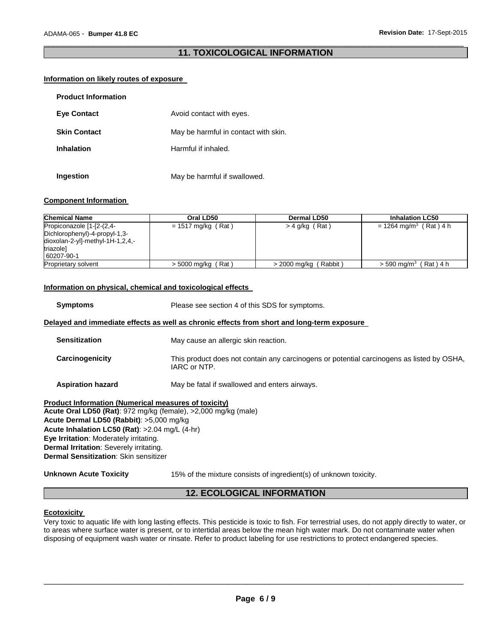## \_\_\_\_\_\_\_\_\_\_\_\_\_\_\_\_\_\_\_\_\_\_\_\_\_\_\_\_\_\_\_\_\_\_\_\_\_\_\_\_\_\_\_\_\_\_\_\_\_\_\_\_\_\_\_\_\_\_\_\_\_\_\_\_\_\_\_\_\_\_\_\_\_\_\_\_\_\_\_\_\_\_\_\_\_\_\_\_\_\_\_\_\_ **11. TOXICOLOGICAL INFORMATION**

#### **Information on likely routes of exposure**

| <b>Product Information</b> |                                      |
|----------------------------|--------------------------------------|
| <b>Eve Contact</b>         | Avoid contact with eyes.             |
| <b>Skin Contact</b>        | May be harmful in contact with skin. |
| <b>Inhalation</b>          | Harmful if inhaled.                  |
| Ingestion                  | May be harmful if swallowed.         |

#### **Component Information**

| <b>Chemical Name</b>                                                                                                        | Oral LD50               | Dermal LD50                | <b>Inhalation LC50</b>                 |
|-----------------------------------------------------------------------------------------------------------------------------|-------------------------|----------------------------|----------------------------------------|
| Propiconazole [1-[2-(2,4-<br>Dichlorophenyl)-4-propyl-1,3-<br>$dioxolan-2-yI]-methyl-1H-1,2,4,-$<br>triazole]<br>60207-90-1 | $= 1517$ mg/kg (Rat)    | $>$ 4 g/kg (Rat)           | = 1264 mg/m <sup>3</sup> (Rat) 4 h     |
| Proprietary solvent                                                                                                         | (Rat)<br>> 5000 mg/kg ( | Rabbit)<br>$> 2000$ mg/kg, | (Rat) 4 h<br>$>$ 590 mg/m <sup>3</sup> |

#### **Information on physical, chemical and toxicological effects**

**Symptoms** Please see section 4 of this SDS for symptoms.

#### **Delayed and immediate effects as well as chronic effects from short and long-term exposure**

| <b>Sensitization</b>       | May cause an allergic skin reaction.                                                                      |
|----------------------------|-----------------------------------------------------------------------------------------------------------|
| Carcinogenicity            | This product does not contain any carcinogens or potential carcinogens as listed by OSHA,<br>IARC or NTP. |
| A continuations to company |                                                                                                           |

**Aspiration hazard** May be fatal if swallowed and enters airways.

**Product Information (Numerical measures of toxicity) Acute Oral LD50 (Rat)**: 972 mg/kg (female), >2,000 mg/kg (male) **Acute Dermal LD50 (Rabbit)**: >5,000 mg/kg **Acute Inhalation LC50 (Rat)**: >2.04 mg/L (4-hr) **Eye Irritation**: Moderately irritating. **Dermal Irritation**: Severely irritating. **Dermal Sensitization**: Skin sensitizer

**Unknown Acute Toxicity** 15% of the mixture consists of ingredient(s) of unknown toxicity.

## **12. ECOLOGICAL INFORMATION**

#### **Ecotoxicity**

Very toxic to aquatic life with long lasting effects. This pesticide is toxic to fish. For terrestrial uses, do not apply directly to water, or to areas where surface water is present, or to intertidal areas below the mean high water mark. Do not contaminate water when disposing of equipment wash water or rinsate. Refer to product labeling for use restrictions to protect endangered species.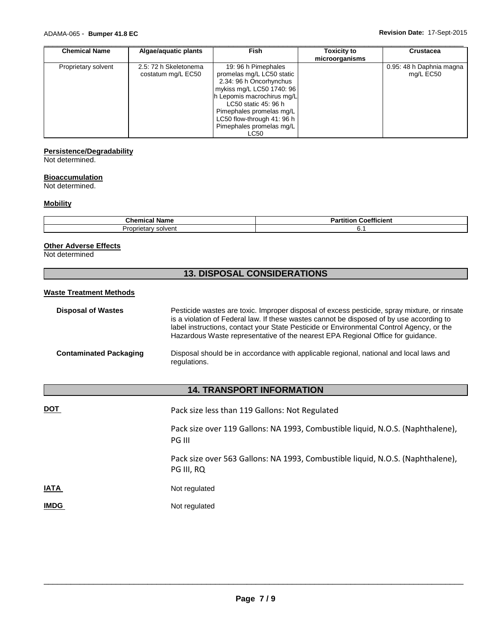| <b>Chemical Name</b> | Algae/aquatic plants  | <b>Fish</b>                | Toxicity to    | <b>Crustacea</b>         |
|----------------------|-----------------------|----------------------------|----------------|--------------------------|
|                      |                       |                            | microorganisms |                          |
| Proprietary solvent  | 2.5: 72 h Skeletonema | 19: 96 h Pimephales        |                | 0.95: 48 h Daphnia magna |
|                      | costatum mg/L EC50    | promelas mg/L LC50 static  |                | mg/L EC50                |
|                      |                       | 2.34: 96 h Oncorhynchus    |                |                          |
|                      |                       | mykiss mg/L LC50 1740: 96  |                |                          |
|                      |                       | h Lepomis macrochirus mg/L |                |                          |
|                      |                       | LC50 static 45: 96 h       |                |                          |
|                      |                       | Pimephales promelas mg/L   |                |                          |
|                      |                       | LC50 flow-through 41: 96 h |                |                          |
|                      |                       | Pimephales promelas mg/L   |                |                          |
|                      |                       | LC50                       |                |                          |

#### **Persistence/Degradability**

Not determined.

## **Bioaccumulation**

Not determined.

#### **Mobility**

| Chemical Name                               | ---<br>Coetticient |
|---------------------------------------------|--------------------|
| ' solvent<br>Ρn<br>יייוטט.<br>' '<br>aletar | ບ. ເ               |

## **Other Adverse Effects**

Not determined

# **13. DISPOSAL CONSIDERATIONS**

#### **Waste Treatment Methods**

| <b>Disposal of Wastes</b>     | Pesticide wastes are toxic. Improper disposal of excess pesticide, spray mixture, or rinsate<br>is a violation of Federal law. If these wastes cannot be disposed of by use according to<br>label instructions, contact your State Pesticide or Environmental Control Agency, or the<br>Hazardous Waste representative of the nearest EPA Regional Office for quidance. |
|-------------------------------|-------------------------------------------------------------------------------------------------------------------------------------------------------------------------------------------------------------------------------------------------------------------------------------------------------------------------------------------------------------------------|
| <b>Contaminated Packaging</b> | Disposal should be in accordance with applicable regional, national and local laws and<br>regulations.                                                                                                                                                                                                                                                                  |

## **14. TRANSPORT INFORMATION**

**DOT** Pack size less than 119 Gallons: Not Regulated Pack size over 119 Gallons: NA 1993, Combustible liquid, N.O.S. (Naphthalene), PG III Pack size over 563 Gallons: NA 1993, Combustible liquid, N.O.S. (Naphthalene), PG III, RQ **IATA** Not regulated **IMDG** Not regulated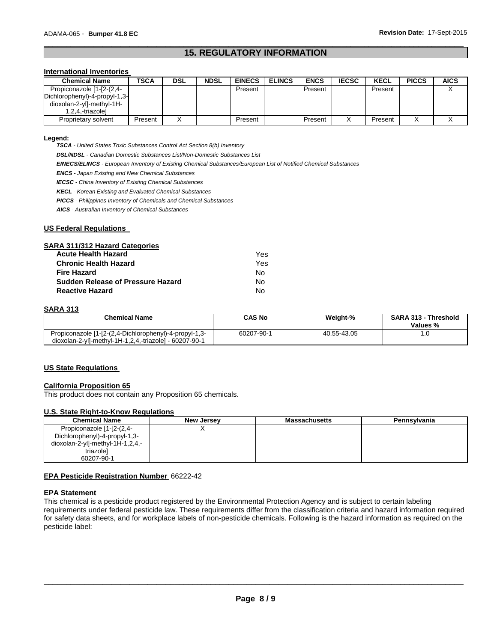## \_\_\_\_\_\_\_\_\_\_\_\_\_\_\_\_\_\_\_\_\_\_\_\_\_\_\_\_\_\_\_\_\_\_\_\_\_\_\_\_\_\_\_\_\_\_\_\_\_\_\_\_\_\_\_\_\_\_\_\_\_\_\_\_\_\_\_\_\_\_\_\_\_\_\_\_\_\_\_\_\_\_\_\_\_\_\_\_\_\_\_\_\_ **15. REGULATORY INFORMATION**

## **International Inventories**

| <b>Chemical Name</b>          | <b>TSCA</b> | <b>DSL</b> | <b>NDSL</b> | <b>EINECS</b> | <b>ELINCS</b> | <b>ENCS</b> | <b>IECSC</b> | <b>KECL</b> | <b>PICCS</b> | <b>AICS</b> |
|-------------------------------|-------------|------------|-------------|---------------|---------------|-------------|--------------|-------------|--------------|-------------|
| Propiconazole [1-[2-(2,4-     |             |            |             | Present       |               | Present     |              | Present     |              |             |
| Dichlorophenyl)-4-propyl-1,3- |             |            |             |               |               |             |              |             |              |             |
| dioxolan-2-yl]-methyl-1H-     |             |            |             |               |               |             |              |             |              |             |
| 1,2,4,-triazole]              |             |            |             |               |               |             |              |             |              |             |
| Proprietary solvent           | Present     |            |             | Present       |               | Present     |              | Present     |              |             |

#### **Legend:**

*TSCA - United States Toxic Substances Control Act Section 8(b) Inventory* 

*DSL/NDSL - Canadian Domestic Substances List/Non-Domestic Substances List* 

*EINECS/ELINCS - European Inventory of Existing Chemical Substances/European List of Notified Chemical Substances* 

*ENCS - Japan Existing and New Chemical Substances* 

*IECSC - China Inventory of Existing Chemical Substances* 

*KECL - Korean Existing and Evaluated Chemical Substances* 

*PICCS - Philippines Inventory of Chemicals and Chemical Substances* 

*AICS - Australian Inventory of Chemical Substances* 

#### **US Federal Regulations**

#### **SARA 311/312 Hazard Categories**

| <b>Acute Health Hazard</b>               | Yes |
|------------------------------------------|-----|
| <b>Chronic Health Hazard</b>             | Yes |
| <b>Fire Hazard</b>                       | No. |
| <b>Sudden Release of Pressure Hazard</b> | N٥  |
| <b>Reactive Hazard</b>                   | N٥  |

#### **SARA 313**

| ---------                                                                                                        |               |             |                                         |
|------------------------------------------------------------------------------------------------------------------|---------------|-------------|-----------------------------------------|
| <b>Chemical Name</b>                                                                                             | <b>CAS No</b> | Weight-%    | <b>SARA 313 - Threshold</b><br>Values % |
| Propiconazole [1-[2-(2,4-Dichlorophenyl)-4-propyl-1,3-<br>dioxolan-2-yl]-methyl-1H-1,2,4,-triazole] - 60207-90-1 | 60207-90-1    | 40.55-43.05 | ، υ                                     |

#### **US State Regulations**

## **California Proposition 65**

This product does not contain any Proposition 65 chemicals.

#### **U.S. State Right-to-Know Regulations**

| <b>Chemical Name</b>             | New Jersey | <b>Massachusetts</b> | Pennsylvania |
|----------------------------------|------------|----------------------|--------------|
| Propiconazole [1-[2-(2,4-        |            |                      |              |
| Dichlorophenyl)-4-propyl-1,3-    |            |                      |              |
| dioxolan-2-yl]-methyl-1H-1,2,4,- |            |                      |              |
| triazole]                        |            |                      |              |
| 60207-90-1                       |            |                      |              |

#### **EPA Pesticide Registration Number** 66222-42

#### **EPA Statement**

This chemical is a pesticide product registered by the Environmental Protection Agency and is subject to certain labeling requirements under federal pesticide law. These requirements differ from the classification criteria and hazard information required for safety data sheets, and for workplace labels of non-pesticide chemicals. Following is the hazard information as required on the pesticide label: